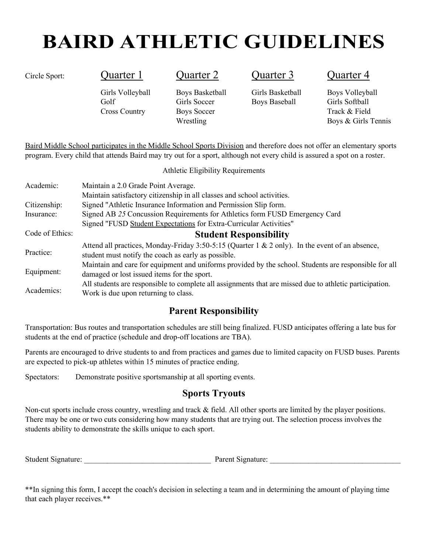# **BAIRD ATHLETIC GUIDELINES**

Cross Country Boys Soccer Track & Field

Circle Sport: Cuarter 1 Quarter 2 Quarter 3 Quarter 4

Girls Volleyball Boys Basketball Girls Basketball Boys Volleyball Golf Girls Soccer Boys Baseball Girls Softball

Wrestling Boys & Girls Tennis

Baird Middle School participates in the Middle School Sports Division and therefore does not offer an elementary sports program. Every child that attends Baird may try out for a sport, although not every child is assured a spot on a roster.

Athletic Eligibility Requirements

| Academic:       | Maintain a 2.0 Grade Point Average.                                                                                                                    |
|-----------------|--------------------------------------------------------------------------------------------------------------------------------------------------------|
|                 | Maintain satisfactory citizenship in all classes and school activities.                                                                                |
| Citizenship:    | Signed "Athletic Insurance Information and Permission Slip form.                                                                                       |
| Insurance:      | Signed AB 25 Concussion Requirements for Athletics form FUSD Emergency Card                                                                            |
|                 | Signed "FUSD Student Expectations for Extra-Curricular Activities"                                                                                     |
| Code of Ethics: | <b>Student Responsibility</b>                                                                                                                          |
| Practice:       | Attend all practices, Monday-Friday 3:50-5:15 (Quarter 1 & 2 only). In the event of an absence,<br>student must notify the coach as early as possible. |
| Equipment:      | Maintain and care for equipment and uniforms provided by the school. Students are responsible for all<br>damaged or lost issued items for the sport.   |
| Academics:      | All students are responsible to complete all assignments that are missed due to athletic participation.<br>Work is due upon returning to class.        |

### **Parent Responsibility**

Transportation: Bus routes and transportation schedules are still being finalized. FUSD anticipates offering a late bus for students at the end of practice (schedule and drop-off locations are TBA).

Parents are encouraged to drive students to and from practices and games due to limited capacity on FUSD buses. Parents are expected to pick-up athletes within 15 minutes of practice ending.

Spectators: Demonstrate positive sportsmanship at all sporting events.

### **Sports Tryouts**

Non-cut sports include cross country, wrestling and track & field. All other sports are limited by the player positions. There may be one or two cuts considering how many students that are trying out. The selection process involves the students ability to demonstrate the skills unique to each sport.

Student Signature: \_\_\_\_\_\_\_\_\_\_\_\_\_\_\_\_\_\_\_\_\_\_\_\_\_\_\_\_\_\_\_\_\_ Parent Signature: \_\_\_\_\_\_\_\_\_\_\_\_\_\_\_\_\_\_\_\_\_\_\_\_\_\_\_\_\_\_\_\_\_\_

\*\*In signing this form, I accept the coach's decision in selecting a team and in determining the amount of playing time that each player receives.\*\*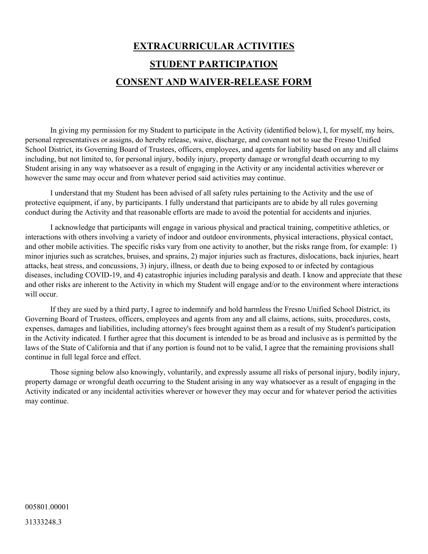## **EXTRACURRICULAR ACTIVITIES STUDENT PARTICIPATION CONSENT AND WAIVER-RELEASE FORM**

In giving my permission for my Student to participate in the Activity (identified below), I, for myself, my heirs, personal representatives or assigns, do hereby release, waive, discharge, and covenant not to sue the Fresno Unified School District, its Governing Board of Trustees, officers, employees, and agents for liability based on any and all claims including, but not limited to, for personal injury, bodily injury, property damage or wrongful death occurring to my Student arising in any way whatsoever as a result of engaging in the Activity or any incidental activities wherever or however the same may occur and from whatever period said activities may continue.

I understand that my Student has been advised of all safety rules pertaining to the Activity and the use of protective equipment, if any, by participants. I fully understand that participants are to abide by all rules governing conduct during the Activity and that reasonable efforts are made to avoid the potential for accidents and injuries.

I acknowledge that participants will engage in various physical and practical training, competitive athletics, or interactions with others involving a variety of indoor and outdoor environments, physical interactions, physical contact, and other mobile activities. The specific risks vary from one activity to another, but the risks range from, for example: 1) minor injuries such as scratches, bruises, and sprains, 2) major injuries such as fractures, dislocations, back injuries, heart attacks, heat stress, and concussions, 3) injury, illness, or death due to being exposed to or infected by contagious diseases, including COVID-19, and 4) catastrophic injuries including paralysis and death. I know and appreciate that these and other risks are inherent to the Activity in which my Student will engage and/or to the environment where interactions will occur.

If they are sued by a third party, I agree to indemnify and hold harmless the Fresno Unified School District, its Governing Board of Trustees, officers, employees and agents from any and all claims, actions, suits, procedures, costs, expenses, damages and liabilities, including attorney's fees brought against them as a result of my Student's participation in the Activity indicated. I further agree that this document is intended to be as broad and inclusive as is permitted by the laws of the State of California and that if any portion is found not to be valid, I agree that the remaining provisions shall continue in full legal force and effect.

Those signing below also knowingly, voluntarily, and expressly assume all risks of personal injury, bodily injury, property damage or wrongful death occurring to the Student arising in any way whatsoever as a result of engaging in the Activity indicated or any incidental activities wherever or however they may occur and for whatever period the activities may continue.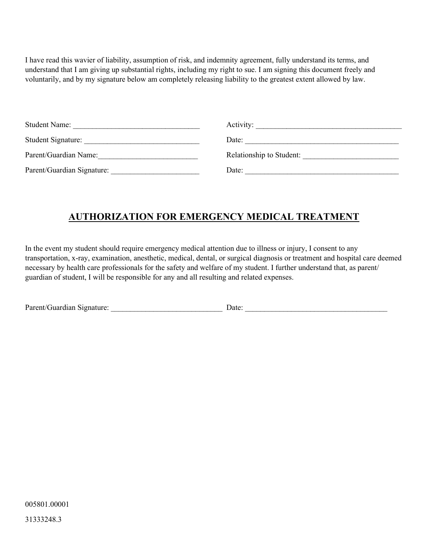I have read this wavier of liability, assumption of risk, and indemnity agreement, fully understand its terms, and understand that I am giving up substantial rights, including my right to sue. I am signing this document freely and voluntarily, and by my signature below am completely releasing liability to the greatest extent allowed by law.

| <b>Student Name:</b>       | Activity:                |
|----------------------------|--------------------------|
| Student Signature:         | Date:                    |
| Parent/Guardian Name:      | Relationship to Student: |
| Parent/Guardian Signature: | Date:                    |

### **AUTHORIZATION FOR EMERGENCY MEDICAL TREATMENT**

In the event my student should require emergency medical attention due to illness or injury, I consent to any transportation, x-ray, examination, anesthetic, medical, dental, or surgical diagnosis or treatment and hospital care deemed necessary by health care professionals for the safety and welfare of my student. I further understand that, as parent/ guardian of student, I will be responsible for any and all resulting and related expenses.

| Parent/Guardian Signature: | Jate |  |
|----------------------------|------|--|
|                            |      |  |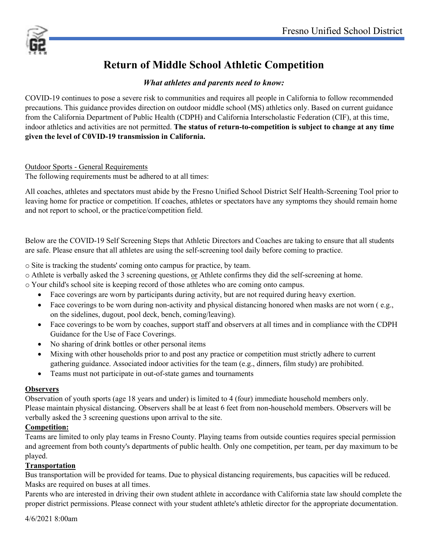

### **Return of Middle School Athletic Competition**

#### *What athletes and parents need to know:*

COVID-19 continues to pose a severe risk to communities and requires all people in California to follow recommended precautions. This guidance provides direction on outdoor middle school (MS) athletics only. Based on current guidance from the California Department of Public Health (CDPH) and California Interscholastic Federation (CIF), at this time, indoor athletics and activities are not permitted. **The status of return-to-competition is subject to change at any time given the level of C0VID-19 transmission in California.**

#### Outdoor Sports - General Requirements

The following requirements must be adhered to at all times:

All coaches, athletes and spectators must abide by the Fresno Unified School District Self Health-Screening Tool prior to leaving home for practice or competition. If coaches, athletes or spectators have any symptoms they should remain home and not report to school, or the practice/competition field.

Below are the COVID-19 Self Screening Steps that Athletic Directors and Coaches are taking to ensure that all students are safe. Please ensure that all athletes are using the self-screening tool daily before coming to practice.

o Site is tracking the students' coming onto campus for practice, by team.

o Athlete is verbally asked the 3 screening questions, or Athlete confirms they did the self-screening at home.

o Your child's school site is keeping record of those athletes who are coming onto campus.

- Face coverings are worn by participants during activity, but are not required during heavy exertion.
- Face coverings to be worn during non-activity and physical distancing honored when masks are not worn (e.g., on the sidelines, dugout, pool deck, bench, coming/leaving).
- Face coverings to be worn by coaches, support staff and observers at all times and in compliance with the CDPH Guidance for the Use of Face Coverings.
- No sharing of drink bottles or other personal items
- Mixing with other households prior to and post any practice or competition must strictly adhere to current gathering guidance. Associated indoor activities for the team (e.g., dinners, film study) are prohibited.
- Teams must not participate in out-of-state games and tournaments

#### **Observers**

Observation of youth sports (age 18 years and under) is limited to 4 (four) immediate household members only. Please maintain physical distancing. Observers shall be at least 6 feet from non-household members. Observers will be verbally asked the 3 screening questions upon arrival to the site.

#### **Competition:**

Teams are limited to only play teams in Fresno County. Playing teams from outside counties requires special permission and agreement from both county's departments of public health. Only one competition, per team, per day maximum to be played.

#### **Transportation**

Bus transportation will be provided for teams. Due to physical distancing requirements, bus capacities will be reduced. Masks are required on buses at all times.

Parents who are interested in driving their own student athlete in accordance with California state law should complete the proper district permissions. Please connect with your student athlete's athletic director for the appropriate documentation.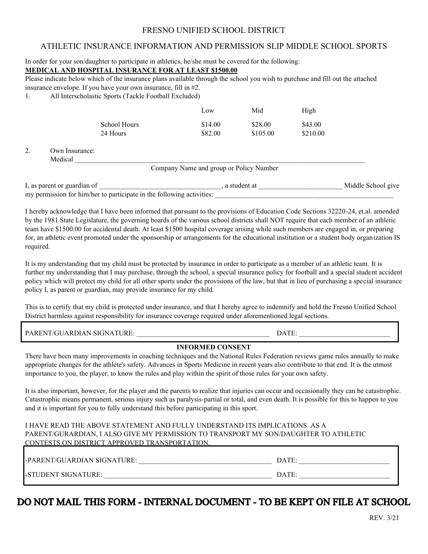#### FRESNO UNIFIED SCHOOL DISTRICT

#### ATHLETIC INSURANCE INFORMATION AND PERMISSION SLIP MIDDLE SCHOOL SPORTS

In order for your son/daughter to participate in athletics, he/she must be covered for the following:

#### **MEDICAL AND HOSPITAL INSURANCE FOR AT LEAST \$1500.00**

Please indicate below which of the insurance plans available through the school you wish to purchase and fill out the attached insurance envelope. If you have your own insurance, fill in #2.

1. All Interscholastic Sports (Tackle Football Excluded)

|    |                            |                                 | Low                                     | Mid                 | High                |                    |
|----|----------------------------|---------------------------------|-----------------------------------------|---------------------|---------------------|--------------------|
|    |                            | <b>School Hours</b><br>24 Hours | \$14.00<br>\$82.00                      | \$28.00<br>\$105.00 | \$43.00<br>\$210.00 |                    |
| 2. | Own Insurance:<br>Medical  |                                 |                                         |                     |                     |                    |
|    |                            |                                 | Company Name and group or Policy Number |                     |                     |                    |
|    | I as parent or guardian of |                                 |                                         | a student at        |                     | Middle School give |

I, as parent or guardian of **EXECUTE 2008**, a student at **Alternative Community Community** and Middle School give my permission for him/her to participate in the following activities:

I hereby acknowledge that I have been informed that pursuant to the provisions of Education Code Sections 32220-24, et.al. amended by the 1981 State Legislature, the governing boards of the various school districts shall NOT require that each member of an athletic team have \$1500.00 for accidental death. At least \$1500 hospital coverage arising while such members are engaged in, or preparing for, an athletic event promoted under the sponsorship or arrangements for the educational institution or a student body organization IS required.

It is my understanding that my child must be protected by insurance in order to participate as a member of an athletic team. It is further my understanding that I may purchase, through the school, a special insurance policy for football and a special student accident policy which will protect my child for all other sports under the provisions of the law, but that in lieu of purchasing a special insurance policy I, as parent or guardian, may provide insurance for my child.

This is to certify that my child is protected under insurance, and that I hereby agree to indemnify and hold the Fresno Unified School District harmless against responsibility for insurance coverage required under aforementioned legal sections.

PARENT/GUARDIAN SIGNATURE:  $\Box$ 

#### **INFORMED CONSENT**

There have been many improvements in coaching techniques and the National Rules Federation reviews game rules annually to make appropriate changes for the athlete's safety. Advances in Sports Medicine in recent years also contribute to that end. It is the utmost importance to you, the player, to know the rules and play within the spirit of those rules for your own safety.

It is also important, however, for the player and the parents to realize that injuries can occur and occasionally they can be catastrophic. Catastrophic means permanent, serious injury such as paralysis-partial or total, and even death. It is possible for this to happen to you and it is important for you to fully understand this before participating in this sport.

#### I HAVE READ THE ABOVE STATEMENT AND FULLY UNDERSTAND ITS IMPLICATIONS. AS A PARENT/GURARDIAN, I ALSO GIVE MY PERMISSION TO TRANSPORT MY SON/DAUGHTER TO ATHLETIC CONTESTS ON DISTRICT APPROVED TRANSPORTATION.

| I-PARENT/GUARDIAN SIGNATURE:- | DATE: |
|-------------------------------|-------|
| <b>I-STUDENT SIGNATURE:</b>   | DATE: |

### DO NOT MAIL THIS FORM - INTERNAL DOCUMENT - TO BE KEPT ON FILE AT SCHOOL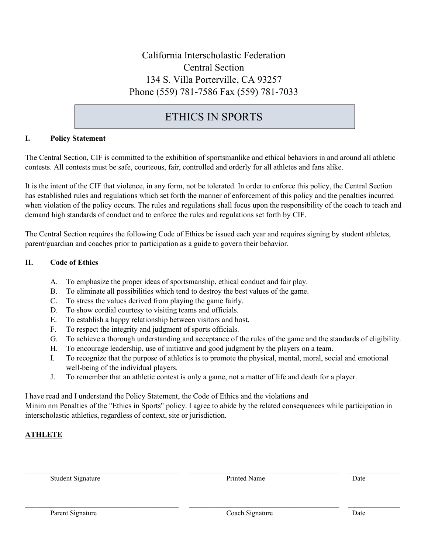### California Interscholastic Federation Central Section 134 S. Villa Porterville, CA 93257 Phone (559) 781-7586 Fax (559) 781-7033

### ETHICS IN SPORTS

#### **I. Policy Statement**

The Central Section, CIF is committed to the exhibition of sportsmanlike and ethical behaviors in and around all athletic contests. All contests must be safe, courteous, fair, controlled and orderly for all athletes and fans alike.

It is the intent of the CIF that violence, in any form, not be tolerated. In order to enforce this policy, the Central Section has established rules and regulations which set forth the manner of enforcement of this policy and the penalties incurred when violation of the policy occurs. The rules and regulations shall focus upon the responsibility of the coach to teach and demand high standards of conduct and to enforce the rules and regulations set forth by CIF.

The Central Section requires the following Code of Ethics be issued each year and requires signing by student athletes, parent/guardian and coaches prior to participation as a guide to govern their behavior.

#### **II. Code of Ethics**

- A. To emphasize the proper ideas of sportsmanship, ethical conduct and fair play.
- B. To eliminate all possibilities which tend to destroy the best values of the game.
- C. To stress the values derived from playing the game fairly.
- D. To show cordial courtesy to visiting teams and officials.
- E. To establish a happy relationship between visitors and host.
- F. To respect the integrity and judgment of sports officials.
- G. To achieve a thorough understanding and acceptance of the rules of the game and the standards of eligibility.
- H. To encourage leadership, use of initiative and good judgment by the players on a team.
- I. To recognize that the purpose of athletics is to promote the physical, mental, moral, social and emotional well-being of the individual players.
- J. To remember that an athletic contest is only a game, not a matter of life and death for a player.

I have read and I understand the Policy Statement, the Code of Ethics and the violations and Minim nm Penalties of the "Ethics in Sports" policy. I agree to abide by the related consequences while participation in interscholastic athletics, regardless of context, site or jurisdiction.

 $\mathcal{L}_\mathcal{L} = \mathcal{L}_\mathcal{L} = \mathcal{L}_\mathcal{L} = \mathcal{L}_\mathcal{L} = \mathcal{L}_\mathcal{L} = \mathcal{L}_\mathcal{L} = \mathcal{L}_\mathcal{L} = \mathcal{L}_\mathcal{L} = \mathcal{L}_\mathcal{L} = \mathcal{L}_\mathcal{L} = \mathcal{L}_\mathcal{L} = \mathcal{L}_\mathcal{L} = \mathcal{L}_\mathcal{L} = \mathcal{L}_\mathcal{L} = \mathcal{L}_\mathcal{L} = \mathcal{L}_\mathcal{L} = \mathcal{L}_\mathcal{L}$ 

#### **ATHLETE**

Student Signature Date Date Printed Name Date Date Date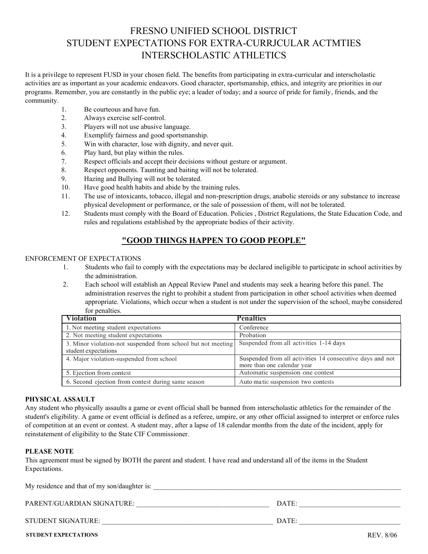### FRESNO UNIFIED SCHOOL DISTRICT STUDENT EXPECTATIONS FOR EXTRA-CURRJCULAR ACTMTIES INTERSCHOLASTIC ATHLETICS

It is a privilege to represent FUSD in your chosen field. The benefits from participating in extra-curricular and interscholastic activities are as important as your academic endeavors. Good character, sportsmanship, ethics, and integrity are priorities in our programs. Remember, you are constantly in the public eye; a leader of today; and a source of pride for family, friends, and the community.

- 1. Be courteous and have fun.
- 2. Always exercise self-control.
- 3. Players will not use abusive language.
- 4. Exemplify fairness and good sportsmanship.
- 5. Win with character, lose with dignity, and never quit.
- 6. Play hard, but play within the rules.
- 7. Respect officials and accept their decisions without gesture or argument.
- 8. Respect opponents. Taunting and baiting will not be tolerated.
- 9. Hazing and Bullying will not be tolerated.
- 10. Have good health habits and abide by the training rules.
- 11. The use of intoxicants, tobacco, illegal and non-prescription drugs, anabolic steroids or any substance to increase physical development or performance, or the sale of possession of them, will not be tolerated.
- 12. Students must comply with the Board of Education. Policies , District Regulations, the State Education Code, and rules and regulations established by the appropriate bodies of their activity.

#### **"GOOD THINGS HAPPEN TO GOOD PEOPLE"**

#### ENFORCEMENT OF EXPECTATIONS

- 1. Students who fail to comply with the expectations may be declared ineligible to participate in school activities by the administration.
- 2. Each school will establish an Appeal Review Panel and students may seek a hearing before this panel. The administration reserves the right to prohibit a student from participation in other school activities when deemed appropriate. Violations, which occur when a student is not under the supervision of the school, maybe considered for penalties.

| <b>Violation</b>                                                                     | <b>Penalties</b>                                                                         |
|--------------------------------------------------------------------------------------|------------------------------------------------------------------------------------------|
| 1. Not meeting student expectations                                                  | Conference                                                                               |
| 2. Not meeting student expectations                                                  | Probation                                                                                |
| 3. Minor violation-not suspended from school but not meeting<br>student expectations | Suspended from all activities 1-14 days                                                  |
| 4. Major violation-suspended from school                                             | Suspended from all activities 14 consecutive days and not<br>more than one calendar year |
| 5. Ejection from contest                                                             | Automatic suspension one contest                                                         |
| 6. Second ejection from contest during same season                                   | Auto matic suspension two contests                                                       |

#### **PHYSICAL ASSAULT**

Any student who physically assaults a game or event official shall be banned from interscholastic athletics for the remainder of the student's eligibility. A game or event official is defined as a referee, umpire, or any other official assigned to interpret or enforce rules of competition at an event or contest. A student may, after a lapse of 18 calendar months from the date of the incident, apply for reinstatement of eligibility to the State CIF Commissioner.

#### **PLEASE NOTE**

This agreement must be signed by BOTH the parent and student. I have read and understand all of the items in the Student Expectations.

| My residence and that of my son/daughter is: |       |
|----------------------------------------------|-------|
| PARENT/GUARDIAN SIGNATURE:                   | DATE: |
| STUDENT SIGNATURE:                           | DATE: |

**STUDENT EXPECTATIONS** REV. 8/06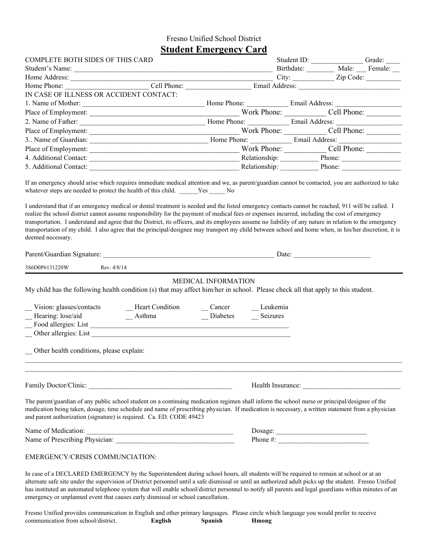#### Fresno Unified School District **Student Emergency Card**

| <b>COMPLETE BOTH SIDES OF THIS CARD</b>                                                                                                                                                                                                                                                                                                                                                                                                                                                                                                                                                                                                                                                                                                                                                                                                                                                   | otaucht Einergene) Caru                   |                                                                                                                                                                                                                                | Student ID:                                  | Grade: |
|-------------------------------------------------------------------------------------------------------------------------------------------------------------------------------------------------------------------------------------------------------------------------------------------------------------------------------------------------------------------------------------------------------------------------------------------------------------------------------------------------------------------------------------------------------------------------------------------------------------------------------------------------------------------------------------------------------------------------------------------------------------------------------------------------------------------------------------------------------------------------------------------|-------------------------------------------|--------------------------------------------------------------------------------------------------------------------------------------------------------------------------------------------------------------------------------|----------------------------------------------|--------|
| Student's Name:                                                                                                                                                                                                                                                                                                                                                                                                                                                                                                                                                                                                                                                                                                                                                                                                                                                                           |                                           |                                                                                                                                                                                                                                | Birthdate: __________ Male: ____ Female: ___ |        |
| Home Address: City: Cell Phone: Cell Phone: Cell Phone: City: City: City: City: City: City: City: City: City: City: City: City: City: City: City: City: City: City: City: City: City: City: City: City: City: City: City: City                                                                                                                                                                                                                                                                                                                                                                                                                                                                                                                                                                                                                                                            |                                           |                                                                                                                                                                                                                                |                                              |        |
|                                                                                                                                                                                                                                                                                                                                                                                                                                                                                                                                                                                                                                                                                                                                                                                                                                                                                           |                                           |                                                                                                                                                                                                                                |                                              |        |
| IN CASE OF ILLNESS OR ACCIDENT CONTACT:                                                                                                                                                                                                                                                                                                                                                                                                                                                                                                                                                                                                                                                                                                                                                                                                                                                   |                                           |                                                                                                                                                                                                                                |                                              |        |
|                                                                                                                                                                                                                                                                                                                                                                                                                                                                                                                                                                                                                                                                                                                                                                                                                                                                                           |                                           |                                                                                                                                                                                                                                |                                              |        |
|                                                                                                                                                                                                                                                                                                                                                                                                                                                                                                                                                                                                                                                                                                                                                                                                                                                                                           |                                           |                                                                                                                                                                                                                                |                                              |        |
|                                                                                                                                                                                                                                                                                                                                                                                                                                                                                                                                                                                                                                                                                                                                                                                                                                                                                           |                                           |                                                                                                                                                                                                                                |                                              |        |
| Place of Employment: $\frac{1}{2}$                                                                                                                                                                                                                                                                                                                                                                                                                                                                                                                                                                                                                                                                                                                                                                                                                                                        |                                           |                                                                                                                                                                                                                                |                                              |        |
|                                                                                                                                                                                                                                                                                                                                                                                                                                                                                                                                                                                                                                                                                                                                                                                                                                                                                           |                                           |                                                                                                                                                                                                                                |                                              |        |
|                                                                                                                                                                                                                                                                                                                                                                                                                                                                                                                                                                                                                                                                                                                                                                                                                                                                                           |                                           |                                                                                                                                                                                                                                |                                              |        |
|                                                                                                                                                                                                                                                                                                                                                                                                                                                                                                                                                                                                                                                                                                                                                                                                                                                                                           |                                           |                                                                                                                                                                                                                                |                                              |        |
|                                                                                                                                                                                                                                                                                                                                                                                                                                                                                                                                                                                                                                                                                                                                                                                                                                                                                           |                                           |                                                                                                                                                                                                                                |                                              |        |
| If an emergency should arise which requires immediate medical attention and we, as parent/guardian cannot be contacted, you are authorized to take<br>whatever steps are needed to protect the health of this child. _____Yes ______No<br>I understand that if an emergency medical or dental treatment is needed and the listed emergency contacts cannot be reached, 911 will be called. I<br>realize the school district cannot assume responsibility for the payment of medical fees or expenses incurred, including the cost of emergency<br>transportation. I understand and agree that the District, its officers, and its employees assume no liability of any nature in relation to the emergency<br>transportation of my child. I also agree that the principal/designee may transport my child between school and home when, in his/her discretion, it is<br>deemed necessary. |                                           |                                                                                                                                                                                                                                |                                              |        |
|                                                                                                                                                                                                                                                                                                                                                                                                                                                                                                                                                                                                                                                                                                                                                                                                                                                                                           |                                           |                                                                                                                                                                                                                                | Date: $\qquad \qquad$                        |        |
| 3S6D0P6131220W<br>Rev. 4/8/14                                                                                                                                                                                                                                                                                                                                                                                                                                                                                                                                                                                                                                                                                                                                                                                                                                                             |                                           |                                                                                                                                                                                                                                |                                              |        |
| My child has the following health condition (s) that may affect him/her in school. Please check all that apply to this student.<br>Vision: glasses/contacts<br>_Heart Condition<br>Hearing: lose/aid<br>$A$ sthma<br>$\overline{\phantom{0}}$<br>Other health conditions, please explain:                                                                                                                                                                                                                                                                                                                                                                                                                                                                                                                                                                                                 | MEDICAL INFORMATION<br>Cancer<br>Diabetes | Leukemia<br>Seizures                                                                                                                                                                                                           |                                              |        |
|                                                                                                                                                                                                                                                                                                                                                                                                                                                                                                                                                                                                                                                                                                                                                                                                                                                                                           |                                           | Health Insurance: New York Changes and Security and Security and Security and Security and Security and Security and Security and Security and Security and Security and Security and Security and Security and Security and S |                                              |        |
| The parent/guardian of any public school student on a continuing medication regimen shall inform the school nurse or principal/designee of the<br>medication being taken, dosage, time schedule and name of prescribing physician. If medication is necessary, a written statement from a physician<br>and parent authorization (signature) is required. Ca. ED. CODE 49423                                                                                                                                                                                                                                                                                                                                                                                                                                                                                                               |                                           |                                                                                                                                                                                                                                |                                              |        |
|                                                                                                                                                                                                                                                                                                                                                                                                                                                                                                                                                                                                                                                                                                                                                                                                                                                                                           |                                           |                                                                                                                                                                                                                                |                                              |        |
|                                                                                                                                                                                                                                                                                                                                                                                                                                                                                                                                                                                                                                                                                                                                                                                                                                                                                           |                                           | $\begin{tabular}{ c c } \hline \textbf{Dosage:}\footnotesize \textcolor{blue}{\textbf{2.1}}\end{tabular}$<br>Phone #:                                                                                                          |                                              |        |
| EMERGENCY/CRISIS COMMUNCIATION:                                                                                                                                                                                                                                                                                                                                                                                                                                                                                                                                                                                                                                                                                                                                                                                                                                                           |                                           |                                                                                                                                                                                                                                |                                              |        |
| In case of a DECLARED EMERGENCY by the Superintendent during school hours, all students will be required to remain at school or at an<br>alternate safe site under the supervision of District personnel until a safe dismissal or until an authorized adult picks up the student. Fresno Unified                                                                                                                                                                                                                                                                                                                                                                                                                                                                                                                                                                                         |                                           |                                                                                                                                                                                                                                |                                              |        |

has instituted an automated telephone system that will enable school/district personnel to notify all parents and legal guardians within minutes of an emergency or unplanned event that causes early dismissal or school cancellation.

Fresno Unified provides communication in English and other primary languages. Please circle which language you would prefer to receive communication from school/district. **English Spanish Hmong**